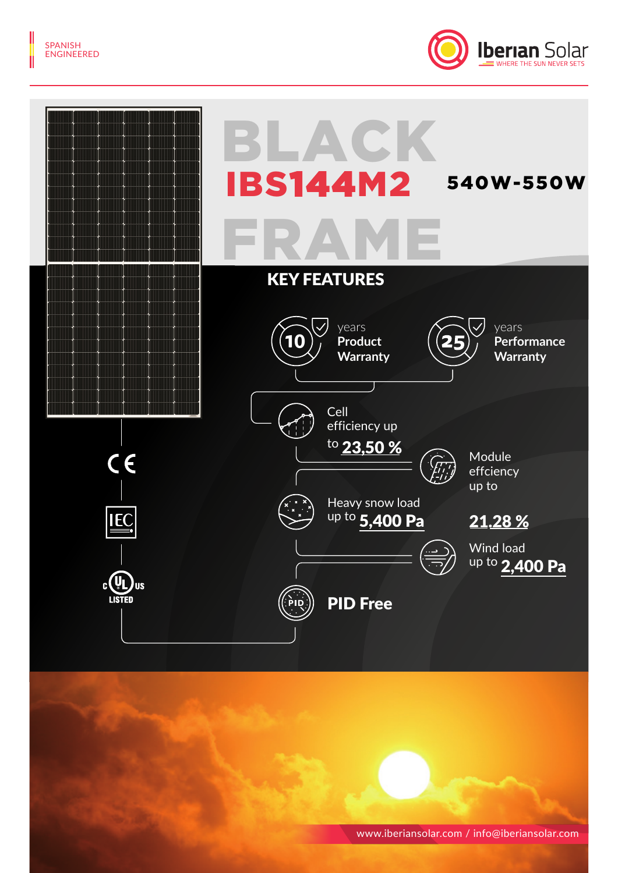